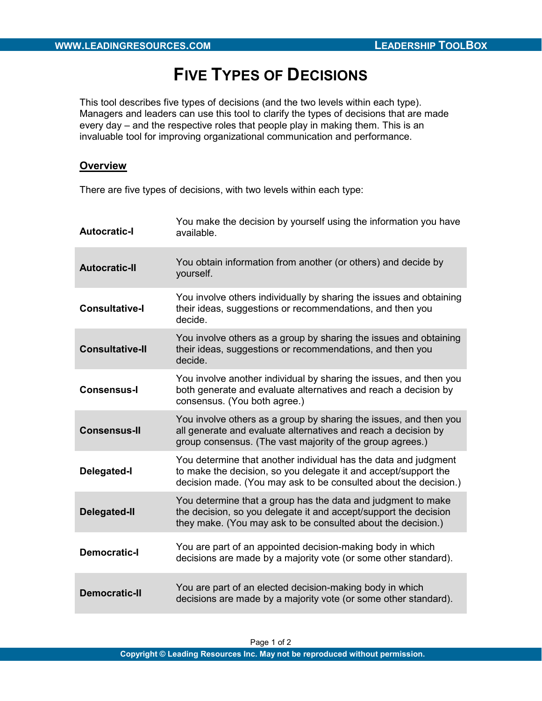## FIVE TYPES OF DECISIONS

This tool describes five types of decisions (and the two levels within each type). Managers and leaders can use this tool to clarify the types of decisions that are made every day – and the respective roles that people play in making them. This is an invaluable tool for improving organizational communication and performance.

## **Overview**

There are five types of decisions, with two levels within each type:

| <b>Autocratic-I</b>    | You make the decision by yourself using the information you have<br>available.                                                                                                                         |
|------------------------|--------------------------------------------------------------------------------------------------------------------------------------------------------------------------------------------------------|
| <b>Autocratic-II</b>   | You obtain information from another (or others) and decide by<br>yourself.                                                                                                                             |
| <b>Consultative-I</b>  | You involve others individually by sharing the issues and obtaining<br>their ideas, suggestions or recommendations, and then you<br>decide.                                                            |
| <b>Consultative-II</b> | You involve others as a group by sharing the issues and obtaining<br>their ideas, suggestions or recommendations, and then you<br>decide.                                                              |
| <b>Consensus-I</b>     | You involve another individual by sharing the issues, and then you<br>both generate and evaluate alternatives and reach a decision by<br>consensus. (You both agree.)                                  |
| <b>Consensus-II</b>    | You involve others as a group by sharing the issues, and then you<br>all generate and evaluate alternatives and reach a decision by<br>group consensus. (The vast majority of the group agrees.)       |
| <b>Delegated-I</b>     | You determine that another individual has the data and judgment<br>to make the decision, so you delegate it and accept/support the<br>decision made. (You may ask to be consulted about the decision.) |
| <b>Delegated-II</b>    | You determine that a group has the data and judgment to make<br>the decision, so you delegate it and accept/support the decision<br>they make. (You may ask to be consulted about the decision.)       |
| <b>Democratic-I</b>    | You are part of an appointed decision-making body in which<br>decisions are made by a majority vote (or some other standard).                                                                          |
| <b>Democratic-II</b>   | You are part of an elected decision-making body in which<br>decisions are made by a majority vote (or some other standard).                                                                            |